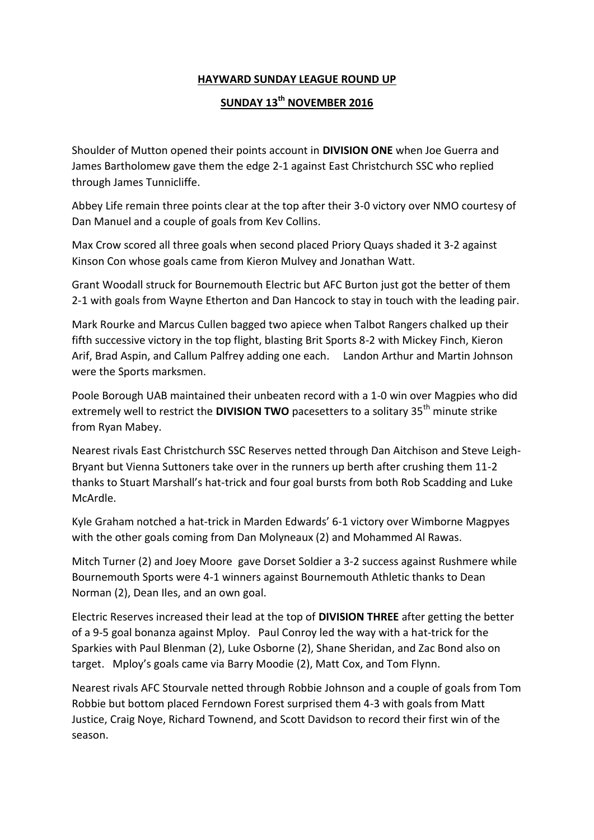## **HAYWARD SUNDAY LEAGUE ROUND UP**

## **SUNDAY 13th NOVEMBER 2016**

Shoulder of Mutton opened their points account in **DIVISION ONE** when Joe Guerra and James Bartholomew gave them the edge 2-1 against East Christchurch SSC who replied through James Tunnicliffe.

Abbey Life remain three points clear at the top after their 3-0 victory over NMO courtesy of Dan Manuel and a couple of goals from Kev Collins.

Max Crow scored all three goals when second placed Priory Quays shaded it 3-2 against Kinson Con whose goals came from Kieron Mulvey and Jonathan Watt.

Grant Woodall struck for Bournemouth Electric but AFC Burton just got the better of them 2-1 with goals from Wayne Etherton and Dan Hancock to stay in touch with the leading pair.

Mark Rourke and Marcus Cullen bagged two apiece when Talbot Rangers chalked up their fifth successive victory in the top flight, blasting Brit Sports 8-2 with Mickey Finch, Kieron Arif, Brad Aspin, and Callum Palfrey adding one each. Landon Arthur and Martin Johnson were the Sports marksmen.

Poole Borough UAB maintained their unbeaten record with a 1-0 win over Magpies who did extremely well to restrict the **DIVISION TWO** pacesetters to a solitary 35<sup>th</sup> minute strike from Ryan Mabey.

Nearest rivals East Christchurch SSC Reserves netted through Dan Aitchison and Steve Leigh-Bryant but Vienna Suttoners take over in the runners up berth after crushing them 11-2 thanks to Stuart Marshall's hat-trick and four goal bursts from both Rob Scadding and Luke McArdle.

Kyle Graham notched a hat-trick in Marden Edwards' 6-1 victory over Wimborne Magpyes with the other goals coming from Dan Molyneaux (2) and Mohammed Al Rawas.

Mitch Turner (2) and Joey Moore gave Dorset Soldier a 3-2 success against Rushmere while Bournemouth Sports were 4-1 winners against Bournemouth Athletic thanks to Dean Norman (2), Dean Iles, and an own goal.

Electric Reserves increased their lead at the top of **DIVISION THREE** after getting the better of a 9-5 goal bonanza against Mploy. Paul Conroy led the way with a hat-trick for the Sparkies with Paul Blenman (2), Luke Osborne (2), Shane Sheridan, and Zac Bond also on target. Mploy's goals came via Barry Moodie (2), Matt Cox, and Tom Flynn.

Nearest rivals AFC Stourvale netted through Robbie Johnson and a couple of goals from Tom Robbie but bottom placed Ferndown Forest surprised them 4-3 with goals from Matt Justice, Craig Noye, Richard Townend, and Scott Davidson to record their first win of the season.